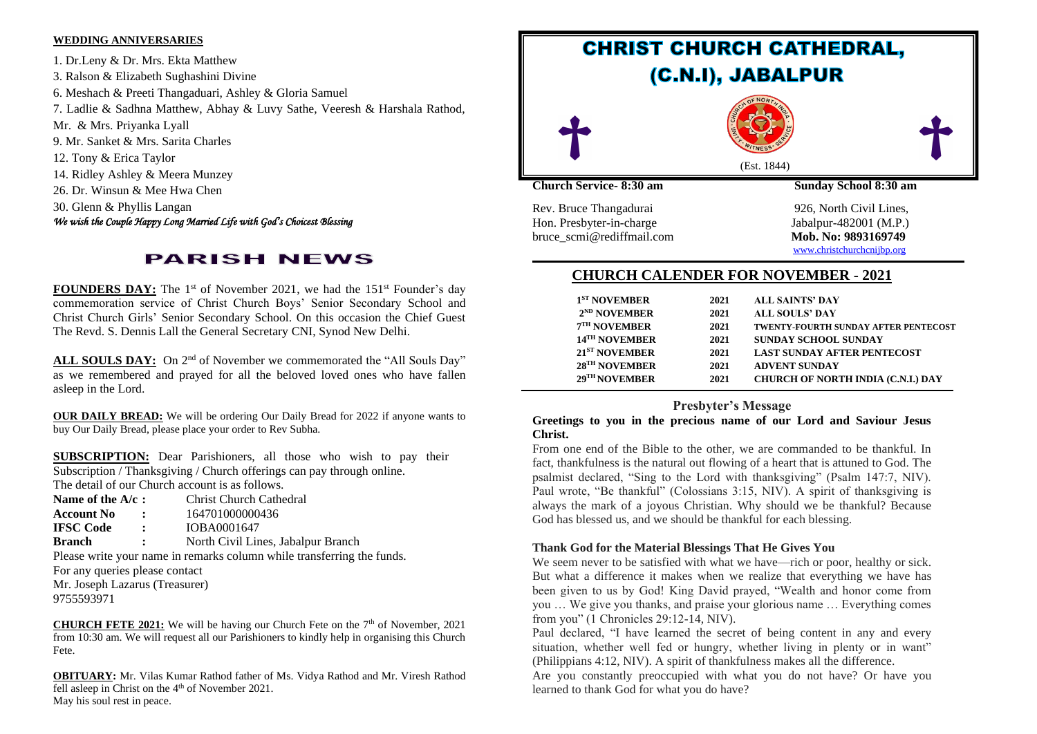#### **WEDDING ANNIVERSARIES**

1. Dr.Leny & Dr. Mrs. Ekta Matthew 3. Ralson & Elizabeth Sughashini Divine 6. Meshach & Preeti Thangaduari, Ashley & Gloria Samuel 7. Ladlie & Sadhna Matthew, Abhay & Luvy Sathe, Veeresh & Harshala Rathod, Mr. & Mrs. Priyanka Lyall 9. Mr. Sanket & Mrs. Sarita Charles 12. Tony & Erica Taylor 14. Ridley Ashley & Meera Munzey 26. Dr. Winsun & Mee Hwa Chen 30. Glenn & Phyllis Langan *We wish the Couple Happy Long Married Life with God's Choicest Blessing* 

# **PARISH NEWS**

FOUNDERS DAY: The 1<sup>st</sup> of November 2021, we had the 151<sup>st</sup> Founder's day commemoration service of Christ Church Boys' Senior Secondary School and Christ Church Girls' Senior Secondary School. On this occasion the Chief Guest The Revd. S. Dennis Lall the General Secretary CNI, Synod New Delhi.

ALL SOULS DAY: On 2<sup>nd</sup> of November we commemorated the "All Souls Day" as we remembered and prayed for all the beloved loved ones who have fallen asleep in the Lord.

**OUR DAILY BREAD:** We will be ordering Our Daily Bread for 2022 if anyone wants to buy Our Daily Bread, please place your order to Rev Subha.

**SUBSCRIPTION:** Dear Parishioners, all those who wish to pay their Subscription / Thanksgiving / Church offerings can pay through online. The detail of our Church account is as follows.

- **Name of the A/c <b>:** Christ Church Cathedral
- **Account No :** 164701000000436
- **IFSC Code :** IOBA0001647

**Branch :** North Civil Lines, Jabalpur Branch

Please write your name in remarks column while transferring the funds.

For any queries please contact Mr. Joseph Lazarus (Treasurer)

9755593971

**CHURCH FETE 2021:** We will be having our Church Fete on the  $7<sup>th</sup>$  of November, 2021 from 10:30 am. We will request all our Parishioners to kindly help in organising this Church Fete.

**OBITUARY:** Mr. Vilas Kumar Rathod father of Ms. Vidya Rathod and Mr. Viresh Rathod fell asleep in Christ on the 4<sup>th</sup> of November 2021. May his soul rest in peace.



Hon. Presbyter-in-charge Jabalpur-482001 (M.P.) bruce scmi@rediffmail.com Mob. No: 9893169749

[www.christchurchcnijbp.org](http://www.christchurchcnijbp.org/)

# **CHURCH CALENDER FOR NOVEMBER - 2021**

| 1 <sup>ST</sup> NOVEMBER    | 2021 | <b>ALL SAINTS' DAY</b>                      |
|-----------------------------|------|---------------------------------------------|
|                             |      |                                             |
| $2^{ND}$ NOVEMBER           | 2021 | <b>ALL SOULS' DAY</b>                       |
| $7TH$ NOVEMBER              | 2021 | <b>TWENTY-FOURTH SUNDAY AFTER PENTECOST</b> |
| 14 <sup>TH</sup> NOVEMBER   | 2021 | <b>SUNDAY SCHOOL SUNDAY</b>                 |
| $21ST$ NOVEMBER             | 2021 | <b>LAST SUNDAY AFTER PENTECOST</b>          |
| $28$ <sup>TH</sup> NOVEMBER | 2021 | <b>ADVENT SUNDAY</b>                        |
| 29 <sup>TH</sup> NOVEMBER   | 2021 | <b>CHURCH OF NORTH INDIA (C.N.I.) DAY</b>   |
|                             |      |                                             |

## **Presbyter's Message**

#### **Greetings to you in the precious name of our Lord and Saviour Jesus Christ.**

From one end of the Bible to the other, we are commanded to be thankful. In fact, thankfulness is the natural out flowing of a heart that is attuned to God. The psalmist declared, "Sing to the Lord with thanksgiving" (Psalm 147:7, NIV). Paul wrote, "Be thankful" (Colossians 3:15, NIV). A spirit of thanksgiving is always the mark of a joyous Christian. Why should we be thankful? Because God has blessed us, and we should be thankful for each blessing.

#### **Thank God for the Material Blessings That He Gives You**

We seem never to be satisfied with what we have—rich or poor, healthy or sick. But what a difference it makes when we realize that everything we have has been given to us by God! King David prayed, "Wealth and honor come from you … We give you thanks, and praise your glorious name … Everything comes from you" (1 Chronicles 29:12-14, NIV).

Paul declared, "I have learned the secret of being content in any and every situation, whether well fed or hungry, whether living in plenty or in want" (Philippians 4:12, NIV). A spirit of thankfulness makes all the difference.

Are you constantly preoccupied with what you do not have? Or have you learned to thank God for what you do have?